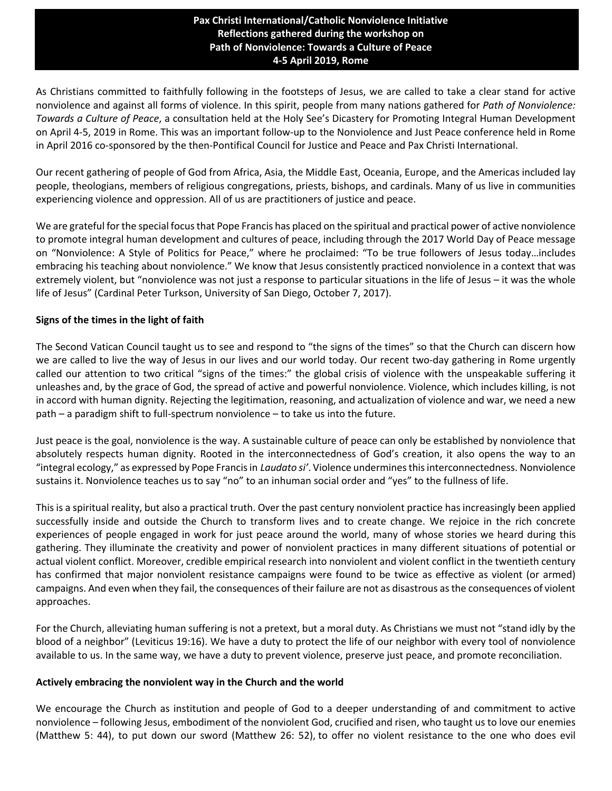## Path of Nonviolence: Towards a Culture of Peace **Pax Christi International/Catholic Nonviolence Initiative Reflections gathered during the workshop on 4-5 April 2019, Rome**

As Christians committed to faithfully following in the footsteps of Jesus, we are called to take a clear stand for active nonviolence and against all forms of violence. In this spirit, people from many nations gathered for *Path of Nonviolence: Towards a Culture of Peace*, a consultation held at the Holy See's Dicastery for Promoting Integral Human Development on April 4-5, 2019 in Rome. This was an important follow-up to the Nonviolence and Just Peace conference held in Rome in April 2016 co-sponsored by the then-Pontifical Council for Justice and Peace and Pax Christi International.

Our recent gathering of people of God from Africa, Asia, the Middle East, Oceania, Europe, and the Americas included lay people, theologians, members of religious congregations, priests, bishops, and cardinals. Many of us live in communities experiencing violence and oppression. All of us are practitioners of justice and peace.

We are grateful for the special focus that Pope Francis has placed on the spiritual and practical power of active nonviolence to promote integral human development and cultures of peace, including through the 2017 World Day of Peace message on "Nonviolence: A Style of Politics for Peace," where he proclaimed: "To be true followers of Jesus today…includes embracing his teaching about nonviolence." We know that Jesus consistently practiced nonviolence in a context that was extremely violent, but "nonviolence was not just a response to particular situations in the life of Jesus – it was the whole life of Jesus" (Cardinal Peter Turkson, University of San Diego, October 7, 2017).

## **Signs of the times in the light of faith**

The Second Vatican Council taught us to see and respond to "the signs of the times" so that the Church can discern how we are called to live the way of Jesus in our lives and our world today. Our recent two-day gathering in Rome urgently called our attention to two critical "signs of the times:" the global crisis of violence with the unspeakable suffering it unleashes and, by the grace of God, the spread of active and powerful nonviolence. Violence, which includes killing, is not in accord with human dignity. Rejecting the legitimation, reasoning, and actualization of violence and war, we need a new path – a paradigm shift to full-spectrum nonviolence – to take us into the future.

Just peace is the goal, nonviolence is the way. A sustainable culture of peace can only be established by nonviolence that absolutely respects human dignity. Rooted in the interconnectedness of God's creation, it also opens the way to an "integral ecology," as expressed by Pope Francis in *Laudato si'*. Violence undermines this interconnectedness. Nonviolence sustains it. Nonviolence teaches us to say "no" to an inhuman social order and "yes" to the fullness of life.

This is a spiritual reality, but also a practical truth. Over the past century nonviolent practice has increasingly been applied successfully inside and outside the Church to transform lives and to create change. We rejoice in the rich concrete experiences of people engaged in work for just peace around the world, many of whose stories we heard during this gathering. They illuminate the creativity and power of nonviolent practices in many different situations of potential or actual violent conflict. Moreover, credible empirical research into nonviolent and violent conflict in the twentieth century has confirmed that major nonviolent resistance campaigns were found to be twice as effective as violent (or armed) campaigns. And even when they fail, the consequences of their failure are not as disastrous as the consequences of violent approaches.

For the Church, alleviating human suffering is not a pretext, but a moral duty. As Christians we must not "stand idly by the blood of a neighbor" (Leviticus 19:16). We have a duty to protect the life of our neighbor with every tool of nonviolence available to us. In the same way, we have a duty to prevent violence, preserve just peace, and promote reconciliation.

## **Actively embracing the nonviolent way in the Church and the world**

We encourage the Church as institution and people of God to a deeper understanding of and commitment to active nonviolence – following Jesus, embodiment of the nonviolent God, crucified and risen, who taught us to love our enemies (Matthew 5: 44), to put down our sword (Matthew 26: 52), to offer no violent resistance to the one who does evil